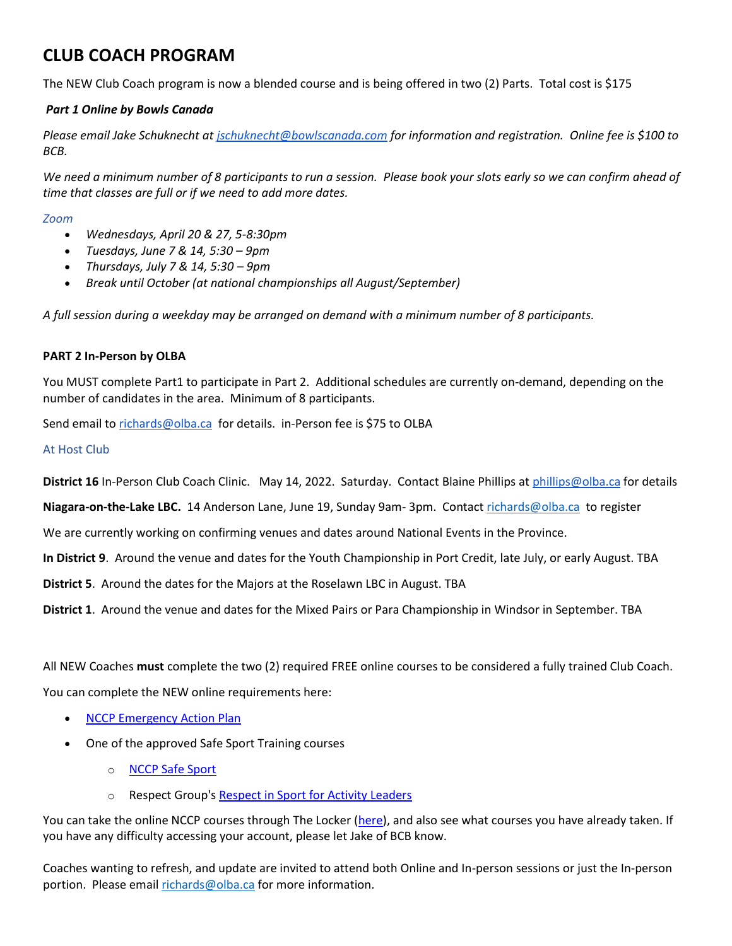# **CLUB COACH PROGRAM**

The NEW Club Coach program is now a blended course and is being offered in two (2) Parts. Total cost is \$175

## *Part 1 Online by Bowls Canada*

*Please email Jake Schuknecht at [jschuknecht@bowlscanada.com](mailto:jschuknecht@bowlscanada.com) for information and registration. Online fee is \$100 to BCB.*

*We need a minimum number of 8 participants to run a session. Please book your slots early so we can confirm ahead of time that classes are full or if we need to add more dates.*

#### *Zoom*

- *Wednesdays, April 20 & 27, 5-8:30pm*
- *Tuesdays, June 7 & 14, 5:30 – 9pm*
- *Thursdays, July 7 & 14, 5:30 – 9pm*
- *Break until October (at national championships all August/September)*

*A full session during a weekday may be arranged on demand with a minimum number of 8 participants.*

### **PART 2 In-Person by OLBA**

You MUST complete Part1 to participate in Part 2. Additional schedules are currently on-demand, depending on the number of candidates in the area. Minimum of 8 participants.

Send email to [richards@olba.ca](mailto:richards@olba.ca) for details. in-Person fee is \$75 to OLBA

### At Host Club

**District 16** In-Person Club Coach Clinic. May 14, 2022. Saturday. Contact Blaine Phillips at [phillips@olba.ca](mailto:phillips@olba.ca) for details

**Niagara-on-the-Lake LBC.** 14 Anderson Lane, June 19, Sunday 9am- 3pm. Contact [richards@olba.ca](mailto:richards@olba.ca) to register

We are currently working on confirming venues and dates around National Events in the Province.

**In District 9**. Around the venue and dates for the Youth Championship in Port Credit, late July, or early August. TBA

**District 5**. Around the dates for the Majors at the Roselawn LBC in August. TBA

**District 1**. Around the venue and dates for the Mixed Pairs or Para Championship in Windsor in September. TBA

All NEW Coaches **must** complete the two (2) required FREE online courses to be considered a fully trained Club Coach.

You can complete the NEW online requirements here:

- [NCCP Emergency Action Plan](https://coach.ca/nccp-emergency-action-plan)
- One of the approved Safe Sport Training courses
	- o [NCCP Safe Sport](https://safesport.coach.ca/)
	- o Respect Group's [Respect in Sport for Activity Leaders](https://bowlscanada-al.respectgroupinc.com/)

You can take the online NCCP courses through The Locker [\(here\)](https://thelocker.coach.ca/account/login?ReturnUrl=%2f), and also see what courses you have already taken. If you have any difficulty accessing your account, please let Jake of BCB know.

Coaches wanting to refresh, and update are invited to attend both Online and In-person sessions or just the In-person portion. Please email [richards@olba.ca](mailto:richards@olba.ca) for more information.